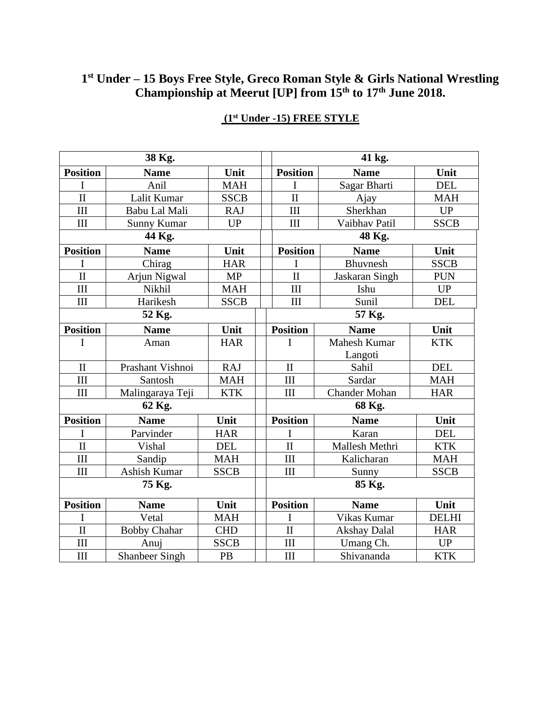### **1 st Under – 15 Boys Free Style, Greco Roman Style & Girls National Wrestling Championship at Meerut [UP] from 15th to 17th June 2018.**

| 38 Kg.                  |                       |             |  | 41 kg.              |                      |              |  |
|-------------------------|-----------------------|-------------|--|---------------------|----------------------|--------------|--|
| <b>Position</b>         | <b>Name</b>           | Unit        |  | <b>Position</b>     | <b>Name</b>          | Unit         |  |
| I                       | Anil                  | <b>MAH</b>  |  | I                   | Sagar Bharti         | <b>DEL</b>   |  |
| $\mathbf{I}$            | Lalit Kumar           | <b>SSCB</b> |  | $\mathbf{I}$        | Ajay                 | <b>MAH</b>   |  |
| III                     | Babu Lal Mali         | <b>RAJ</b>  |  | III                 | Sherkhan             | UP           |  |
| III                     | <b>Sunny Kumar</b>    | <b>UP</b>   |  | III                 | Vaibhav Patil        | <b>SSCB</b>  |  |
| 44 Kg.                  |                       |             |  | 48 Kg.              |                      |              |  |
| <b>Position</b>         | <b>Name</b>           | Unit        |  | <b>Position</b>     | <b>Name</b>          | Unit         |  |
| I                       | Chirag                | <b>HAR</b>  |  | I                   | Bhuvnesh             | <b>SSCB</b>  |  |
| $\mathbf{I}$            | Arjun Nigwal          | <b>MP</b>   |  | $\overline{\rm II}$ | Jaskaran Singh       | <b>PUN</b>   |  |
| III                     | Nikhil                | <b>MAH</b>  |  | III                 | Ishu                 | <b>UP</b>    |  |
| III                     | Harikesh              | <b>SSCB</b> |  | III                 | Sunil                | <b>DEL</b>   |  |
| 52 Kg.                  |                       |             |  | 57 Kg.              |                      |              |  |
| <b>Position</b>         | <b>Name</b>           | Unit        |  | <b>Position</b>     | <b>Name</b>          | Unit         |  |
| I                       | Aman                  | <b>HAR</b>  |  | I                   | Mahesh Kumar         | <b>KTK</b>   |  |
|                         |                       |             |  |                     | Langoti              |              |  |
| $\mathbf{I}$            | Prashant Vishnoi      | <b>RAJ</b>  |  | $\mathbf{I}$        | Sahil                | <b>DEL</b>   |  |
| III                     | Santosh               | <b>MAH</b>  |  | III                 | Sardar               | <b>MAH</b>   |  |
| III                     | Malingaraya Teji      | <b>KTK</b>  |  | III                 | <b>Chander Mohan</b> | <b>HAR</b>   |  |
| 62 Kg.                  |                       |             |  | 68 Kg.              |                      |              |  |
| <b>Position</b>         | <b>Name</b>           | Unit        |  | <b>Position</b>     | <b>Name</b>          | Unit         |  |
| I                       | Parvinder             | <b>HAR</b>  |  | I                   | Karan                | <b>DEL</b>   |  |
| $\overline{\mathbf{H}}$ | Vishal                | <b>DEL</b>  |  | $\mathbf{I}$        | Mallesh Methri       | <b>KTK</b>   |  |
| III                     | Sandip                | <b>MAH</b>  |  | III                 | Kalicharan           | <b>MAH</b>   |  |
| III                     | Ashish Kumar          | <b>SSCB</b> |  | III                 | Sunny                | <b>SSCB</b>  |  |
| 75 Kg.                  |                       |             |  | 85 Kg.              |                      |              |  |
| <b>Position</b>         | <b>Name</b>           | Unit        |  | <b>Position</b>     | <b>Name</b>          | Unit         |  |
| I                       | Vetal                 | <b>MAH</b>  |  | T                   | Vikas Kumar          | <b>DELHI</b> |  |
| $\mathbf{I}$            | <b>Bobby Chahar</b>   | <b>CHD</b>  |  | $\mathbf{I}$        | <b>Akshay Dalal</b>  | <b>HAR</b>   |  |
| III                     | Anuj                  | <b>SSCB</b> |  | III                 | Umang Ch.            | <b>UP</b>    |  |
| III                     | <b>Shanbeer Singh</b> | PB          |  | III                 | Shivananda           | <b>KTK</b>   |  |

# **(1st Under -15) FREE STYLE**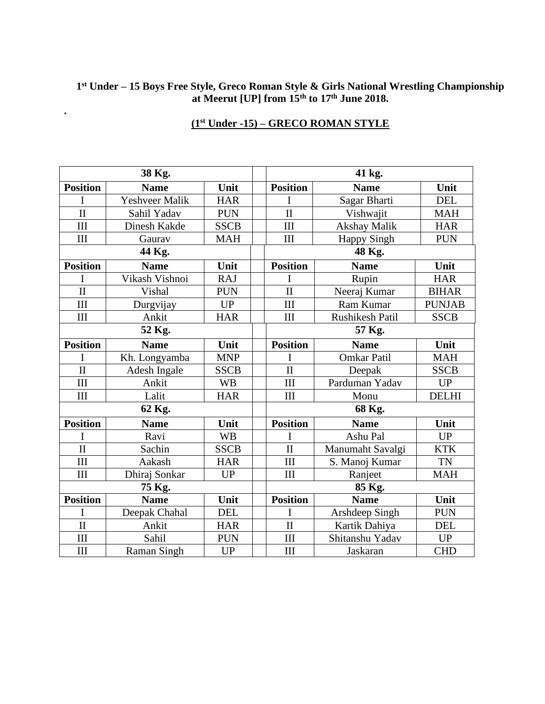#### **1 st Under – 15 Boys Free Style, Greco Roman Style & Girls National Wrestling Championship at Meerut [UP] from 15th to 17th June 2018.**

| 38 Kg.                  |                       |             |  | 41 kg.                  |                     |               |  |
|-------------------------|-----------------------|-------------|--|-------------------------|---------------------|---------------|--|
| <b>Position</b>         | <b>Name</b>           | Unit        |  | <b>Position</b>         | <b>Name</b>         | Unit          |  |
| I                       | <b>Yeshveer Malik</b> | <b>HAR</b>  |  | I                       | Sagar Bharti        | <b>DEL</b>    |  |
| $\mathbf{I}$            | Sahil Yadav           | <b>PUN</b>  |  | $\mathbf{I}$            | Vishwajit           | <b>MAH</b>    |  |
| III                     | Dinesh Kakde          | <b>SSCB</b> |  | III                     | <b>Akshay Malik</b> | <b>HAR</b>    |  |
| III                     | Gaurav                | <b>MAH</b>  |  | III                     | <b>Happy Singh</b>  | <b>PUN</b>    |  |
| 44 Kg.                  |                       |             |  | 48 Kg.                  |                     |               |  |
| <b>Position</b>         | <b>Name</b>           | Unit        |  | <b>Position</b>         | <b>Name</b>         | Unit          |  |
| I                       | Vikash Vishnoi        | <b>RAJ</b>  |  | I                       | Rupin               | <b>HAR</b>    |  |
| $\mathbf{I}$            | Vishal                | <b>PUN</b>  |  | $\overline{\rm II}$     | Neeraj Kumar        | <b>BIHAR</b>  |  |
| III                     | Durgvijay             | <b>UP</b>   |  | III                     | Ram Kumar           | <b>PUNJAB</b> |  |
| III                     | Ankit                 | <b>HAR</b>  |  | III                     | Rushikesh Patil     | <b>SSCB</b>   |  |
| 52 Kg.                  |                       |             |  | 57 Kg.                  |                     |               |  |
| <b>Position</b>         | <b>Name</b>           | Unit        |  | <b>Position</b>         | <b>Name</b>         | Unit          |  |
| I                       | Kh. Longyamba         | <b>MNP</b>  |  |                         | <b>Omkar Patil</b>  | <b>MAH</b>    |  |
| $\overline{\mathbf{H}}$ | Adesh Ingale          | <b>SSCB</b> |  | $\mathbf{I}$            | Deepak              | <b>SSCB</b>   |  |
| III                     | Ankit                 | <b>WB</b>   |  | III                     | Parduman Yadav      | <b>UP</b>     |  |
| III                     | Lalit                 | <b>HAR</b>  |  | III                     | Monu                | <b>DELHI</b>  |  |
| 62 Kg.                  |                       |             |  | 68 Kg.                  |                     |               |  |
| <b>Position</b>         | <b>Name</b>           | Unit        |  | <b>Position</b>         | <b>Name</b>         | Unit          |  |
| I                       | Ravi                  | <b>WB</b>   |  | I                       | Ashu Pal            | <b>UP</b>     |  |
| $\overline{\rm II}$     | Sachin                | <b>SSCB</b> |  | $\overline{\rm II}$     | Manumaht Savalgi    | <b>KTK</b>    |  |
| III                     | Aakash                | <b>HAR</b>  |  | III                     | S. Manoj Kumar      | <b>TN</b>     |  |
| III                     | Dhiraj Sonkar         | <b>UP</b>   |  | III                     | Ranjeet             | <b>MAH</b>    |  |
| 75 Kg.                  |                       |             |  | 85 Kg.                  |                     |               |  |
| <b>Position</b>         | <b>Name</b>           | Unit        |  | <b>Position</b>         | <b>Name</b>         | Unit          |  |
| I                       | Deepak Chahal         | <b>DEL</b>  |  | I                       | Arshdeep Singh      | <b>PUN</b>    |  |
| $\overline{\mathbf{H}}$ | Ankit                 | <b>HAR</b>  |  | $\overline{\mathbf{H}}$ | Kartik Dahiya       | <b>DEL</b>    |  |
| III                     | Sahil                 | <b>PUN</b>  |  | III                     | Shitanshu Yadav     | <b>UP</b>     |  |
| III                     | <b>Raman Singh</b>    | <b>UP</b>   |  | III                     | Jaskaran            | <b>CHD</b>    |  |

# **(1st Under -15) – GRECO ROMAN STYLE**

**.**